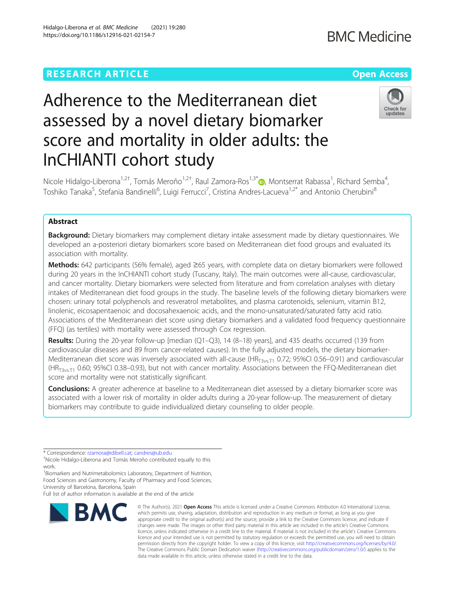# **RESEARCH ARTICLE Example 2014 12:30 The Contract of Contract ACCESS**

# Adherence to the Mediterranean diet assessed by a novel dietary biomarker score and mortality in older adults: the InCHIANTI cohort study

Nicole Hidalgo-Liberona<sup>1[,](http://orcid.org/0000-0002-6236-6804)2†</sup>, Tomás Meroño<sup>1,2†</sup>, Raul Zamora-Ros<sup>1,3\*</sup>®, Montserrat Rabassa<sup>1</sup>, Richard Semba<sup>4</sup> , Toshiko Tanaka<sup>5</sup>, Stefania Bandinelli<sup>6</sup>, Luigi Ferrucci<sup>7</sup>, Cristina Andres-Lacueva<sup>1,2\*</sup> and Antonio Cherubini<sup>8</sup>

# Abstract

**Background:** Dietary biomarkers may complement dietary intake assessment made by dietary questionnaires. We developed an a-posteriori dietary biomarkers score based on Mediterranean diet food groups and evaluated its association with mortality.

Methods: 642 participants (56% female), aged ≥65 years, with complete data on dietary biomarkers were followed during 20 years in the InCHIANTI cohort study (Tuscany, Italy). The main outcomes were all-cause, cardiovascular, and cancer mortality. Dietary biomarkers were selected from literature and from correlation analyses with dietary intakes of Mediterranean diet food groups in the study. The baseline levels of the following dietary biomarkers were chosen: urinary total polyphenols and resveratrol metabolites, and plasma carotenoids, selenium, vitamin B12, linolenic, eicosapentaenoic and docosahexaenoic acids, and the mono-unsaturated/saturated fatty acid ratio. Associations of the Mediterranean diet score using dietary biomarkers and a validated food frequency questionnaire (FFQ) (as tertiles) with mortality were assessed through Cox regression.

Results: During the 20-year follow-up [median (Q1-Q3), 14 (8-18) years], and 435 deaths occurred (139 from cardiovascular diseases and 89 from cancer-related causes). In the fully adjusted models, the dietary biomarker-Mediterranean diet score was inversely associated with all-cause (HR<sub>T3vs.T1</sub> 0.72; 95%CI 0.56–0.91) and cardiovascular (HR<sub>T3vs.T1</sub> 0.60; 95%Cl 0.38–0.93), but not with cancer mortality. Associations between the FFQ-Mediterranean diet score and mortality were not statistically significant.

Conclusions: A greater adherence at baseline to a Mediterranean diet assessed by a dietary biomarker score was associated with a lower risk of mortality in older adults during a 20-year follow-up. The measurement of dietary biomarkers may contribute to guide individualized dietary counseling to older people.

\* Correspondence: [rzamora@idibell.cat](mailto:rzamora@idibell.cat); [candres@ub.edu](mailto:candres@ub.edu) †

**BMC** 

<sup>1</sup> Biomarkers and Nutrimetabolomics Laboratory, Department of Nutrition, Food Sciences and Gastronomy, Faculty of Pharmacy and Food Sciences, University of Barcelona, Barcelona, Spain

Full list of author information is available at the end of the article





which permits use, sharing, adaptation, distribution and reproduction in any medium or format, as long as you give appropriate credit to the original author(s) and the source, provide a link to the Creative Commons licence, and indicate if changes were made. The images or other third party material in this article are included in the article's Creative Commons licence, unless indicated otherwise in a credit line to the material. If material is not included in the article's Creative Commons licence and your intended use is not permitted by statutory regulation or exceeds the permitted use, you will need to obtain permission directly from the copyright holder. To view a copy of this licence, visit [http://creativecommons.org/licenses/by/4.0/.](http://creativecommons.org/licenses/by/4.0/) The Creative Commons Public Domain Dedication waiver [\(http://creativecommons.org/publicdomain/zero/1.0/](http://creativecommons.org/publicdomain/zero/1.0/)) applies to the data made available in this article, unless otherwise stated in a credit line to the data.

© The Author(s), 2021 **Open Access** This article is licensed under a Creative Commons Attribution 4.0 International License,

Nicole Hidalgo-Liberona and Tomás Meroño contributed equally to this work.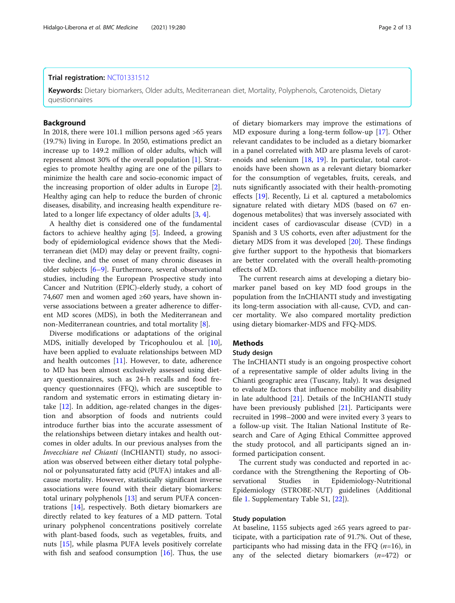# Trial registration: [NCT01331512](https://clinicaltrials.gov/ct2/show/NCT01331512)

Keywords: Dietary biomarkers, Older adults, Mediterranean diet, Mortality, Polyphenols, Carotenoids, Dietary questionnaires

# **Background**

In 2018, there were 101.1 million persons aged >65 years (19.7%) living in Europe. In 2050, estimations predict an increase up to 149.2 million of older adults, which will represent almost 30% of the overall population [\[1](#page-11-0)]. Strategies to promote healthy aging are one of the pillars to minimize the health care and socio-economic impact of the increasing proportion of older adults in Europe [\[2](#page-11-0)]. Healthy aging can help to reduce the burden of chronic diseases, disability, and increasing health expenditure related to a longer life expectancy of older adults [\[3](#page-11-0), [4](#page-11-0)].

A healthy diet is considered one of the fundamental factors to achieve healthy aging [\[5](#page-11-0)]. Indeed, a growing body of epidemiological evidence shows that the Mediterranean diet (MD) may delay or prevent frailty, cognitive decline, and the onset of many chronic diseases in older subjects [\[6](#page-11-0)–[9](#page-11-0)]. Furthermore, several observational studies, including the European Prospective study into Cancer and Nutrition (EPIC)-elderly study, a cohort of 74,607 men and women aged ≥60 years, have shown inverse associations between a greater adherence to different MD scores (MDS), in both the Mediterranean and non-Mediterranean countries, and total mortality [[8\]](#page-11-0).

Diverse modifications or adaptations of the original MDS, initially developed by Tricophoulou et al. [\[10](#page-11-0)], have been applied to evaluate relationships between MD and health outcomes [[11](#page-11-0)]. However, to date, adherence to MD has been almost exclusively assessed using dietary questionnaires, such as 24-h recalls and food frequency questionnaires (FFQ), which are susceptible to random and systematic errors in estimating dietary intake [[12\]](#page-11-0). In addition, age-related changes in the digestion and absorption of foods and nutrients could introduce further bias into the accurate assessment of the relationships between dietary intakes and health outcomes in older adults. In our previous analyses from the Invecchiare nel Chianti (InCHIANTI) study, no association was observed between either dietary total polyphenol or polyunsaturated fatty acid (PUFA) intakes and allcause mortality. However, statistically significant inverse associations were found with their dietary biomarkers: total urinary polyphenols [[13](#page-11-0)] and serum PUFA concentrations [\[14\]](#page-11-0), respectively. Both dietary biomarkers are directly related to key features of a MD pattern. Total urinary polyphenol concentrations positively correlate with plant-based foods, such as vegetables, fruits, and nuts [\[15](#page-11-0)], while plasma PUFA levels positively correlate with fish and seafood consumption  $[16]$ . Thus, the use

of dietary biomarkers may improve the estimations of MD exposure during a long-term follow-up [\[17](#page-11-0)]. Other relevant candidates to be included as a dietary biomarker in a panel correlated with MD are plasma levels of carotenoids and selenium [\[18](#page-11-0), [19](#page-11-0)]. In particular, total carotenoids have been shown as a relevant dietary biomarker for the consumption of vegetables, fruits, cereals, and nuts significantly associated with their health-promoting effects [[19](#page-11-0)]. Recently, Li et al. captured a metabolomics signature related with dietary MDS (based on 67 endogenous metabolites) that was inversely associated with incident cases of cardiovascular disease (CVD) in a Spanish and 3 US cohorts, even after adjustment for the dietary MDS from it was developed [\[20](#page-11-0)]. These findings give further support to the hypothesis that biomarkers are better correlated with the overall health-promoting effects of MD.

The current research aims at developing a dietary biomarker panel based on key MD food groups in the population from the InCHIANTI study and investigating its long-term association with all-cause, CVD, and cancer mortality. We also compared mortality prediction using dietary biomarker-MDS and FFQ-MDS.

# Methods

# Study design

The InCHIANTI study is an ongoing prospective cohort of a representative sample of older adults living in the Chianti geographic area (Tuscany, Italy). It was designed to evaluate factors that influence mobility and disability in late adulthood [\[21](#page-11-0)]. Details of the InCHIANTI study have been previously published [\[21\]](#page-11-0). Participants were recruited in 1998–2000 and were invited every 3 years to a follow-up visit. The Italian National Institute of Research and Care of Aging Ethical Committee approved the study protocol, and all participants signed an informed participation consent.

The current study was conducted and reported in accordance with the Strengthening the Reporting of Observational Studies in Epidemiology-Nutritional Epidemiology (STROBE-NUT) guidelines (Additional file [1.](#page-10-0) Supplementary Table S1, [\[22](#page-11-0)]).

# Study population

At baseline, 1155 subjects aged ≥65 years agreed to participate, with a participation rate of 91.7%. Out of these, participants who had missing data in the FFQ  $(n=16)$ , in any of the selected dietary biomarkers  $(n=472)$  or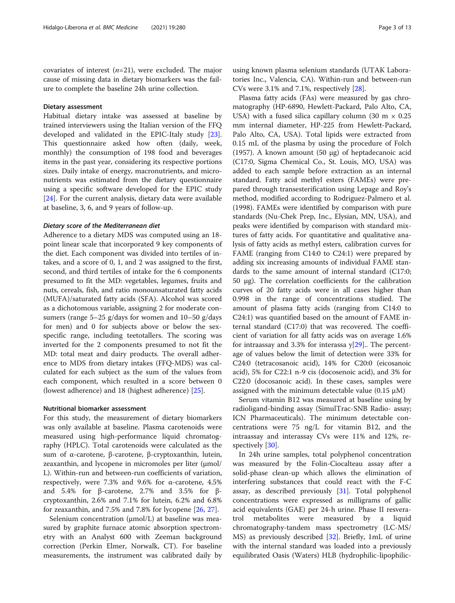covariates of interest  $(n=21)$ , were excluded. The major cause of missing data in dietary biomarkers was the failure to complete the baseline 24h urine collection.

# Dietary assessment

Habitual dietary intake was assessed at baseline by trained interviewers using the Italian version of the FFQ developed and validated in the EPIC-Italy study [\[23](#page-11-0)]. This questionnaire asked how often (daily, week, monthly) the consumption of 198 food and beverages items in the past year, considering its respective portions sizes. Daily intake of energy, macronutrients, and micronutrients was estimated from the dietary questionnaire using a specific software developed for the EPIC study [[24\]](#page-11-0). For the current analysis, dietary data were available at baseline, 3, 6, and 9 years of follow-up.

# Dietary score of the Mediterranean diet

Adherence to a dietary MDS was computed using an 18 point linear scale that incorporated 9 key components of the diet. Each component was divided into tertiles of intakes, and a score of 0, 1, and 2 was assigned to the first, second, and third tertiles of intake for the 6 components presumed to fit the MD: vegetables, legumes, fruits and nuts, cereals, fish, and ratio monounsaturated fatty acids (MUFA)/saturated fatty acids (SFA). Alcohol was scored as a dichotomous variable, assigning 2 for moderate consumers (range  $5-25$  g/days for women and  $10-50$  g/days for men) and 0 for subjects above or below the sexspecific range, including teetotallers. The scoring was inverted for the 2 components presumed to not fit the MD: total meat and dairy products. The overall adherence to MDS from dietary intakes (FFQ-MDS) was calculated for each subject as the sum of the values from each component, which resulted in a score between 0 (lowest adherence) and 18 (highest adherence) [\[25](#page-11-0)].

# Nutritional biomarker assessment

For this study, the measurement of dietary biomarkers was only available at baseline. Plasma carotenoids were measured using high-performance liquid chromatography (HPLC). Total carotenoids were calculated as the sum of α-carotene, β-carotene, β-cryptoxanthin, lutein, zeaxanthin, and lycopene in micromoles per liter (μmol/ L). Within-run and between-run coefficients of variation, respectively, were 7.3% and 9.6% for α-carotene, 4.5% and 5.4% for β-carotene, 2.7% and 3.5% for βcryptoxanthin, 2.6% and 7.1% for lutein, 6.2% and 6.8% for zeaxanthin, and 7.5% and 7.8% for lycopene [[26](#page-11-0), [27](#page-11-0)].

Selenium concentration (μmol/L) at baseline was measured by graphite furnace atomic absorption spectrometry with an Analyst 600 with Zeeman background correction (Perkin Elmer, Norwalk, CT). For baseline measurements, the instrument was calibrated daily by using known plasma selenium standards (UTAK Laboratories Inc., Valencia, CA). Within-run and between-run CVs were 3.1% and 7.1%, respectively [\[28](#page-11-0)].

Plasma fatty acids (FAs) were measured by gas chromatography (HP-6890, Hewlett-Packard, Palo Alto, CA, USA) with a fused silica capillary column (30 m  $\times$  0.25 mm internal diameter, HP-225 from Hewlett-Packard, Palo Alto, CA, USA). Total lipids were extracted from 0.15 mL of the plasma by using the procedure of Folch (1957). A known amount (50 μg) of heptadecanoic acid (C17:0, Sigma Chemical Co., St. Louis, MO, USA) was added to each sample before extraction as an internal standard. Fatty acid methyl esters (FAMEs) were prepared through transesterification using Lepage and Roy's method, modified according to Rodriguez-Palmero et al. (1998). FAMEs were identified by comparison with pure standards (Nu-Chek Prep, Inc., Elysian, MN, USA), and peaks were identified by comparison with standard mixtures of fatty acids. For quantitative and qualitative analysis of fatty acids as methyl esters, calibration curves for FAME (ranging from C14:0 to C24:1) were prepared by adding six increasing amounts of individual FAME standards to the same amount of internal standard (C17:0; 50 μg). The correlation coefficients for the calibration curves of 20 fatty acids were in all cases higher than 0.998 in the range of concentrations studied. The amount of plasma fatty acids (ranging from C14:0 to C24:1) was quantified based on the amount of FAME internal standard (C17:0) that was recovered. The coefficient of variation for all fatty acids was on average 1.6% for intraassay and 3.3% for interassa  $y[29]$  $y[29]$  $y[29]$ . The percentage of values below the limit of detection were 33% for C24:0 (tetracosanoic acid), 14% for C20:0 (eicosanoic acid), 5% for C22:1 n-9 cis (docosenoic acid), and 3% for C22:0 (docosanoic acid). In these cases, samples were assigned with the minimum detectable value (0.15 μM)

Serum vitamin B12 was measured at baseline using by radioligand-binding assay (SimulTrac-SNB Radio- assay; ICN Pharmaceuticals). The minimum detectable concentrations were 75 ng/L for vitamin B12, and the intraassay and interassay CVs were 11% and 12%, respectively [\[30\]](#page-11-0).

In 24h urine samples, total polyphenol concentration was measured by the Folin-Ciocalteau assay after a solid-phase clean-up which allows the elimination of interfering substances that could react with the F-C assay, as described previously [[31\]](#page-11-0). Total polyphenol concentrations were expressed as milligrams of gallic acid equivalents (GAE) per 24-h urine. Phase II resveratrol metabolites were measured by a liquid chromatography-tandem mass spectrometry (LC-MS/ MS) as previously described [\[32](#page-11-0)]. Briefly, 1mL of urine with the internal standard was loaded into a previously equilibrated Oasis (Waters) HLB (hydrophilic-lipophilic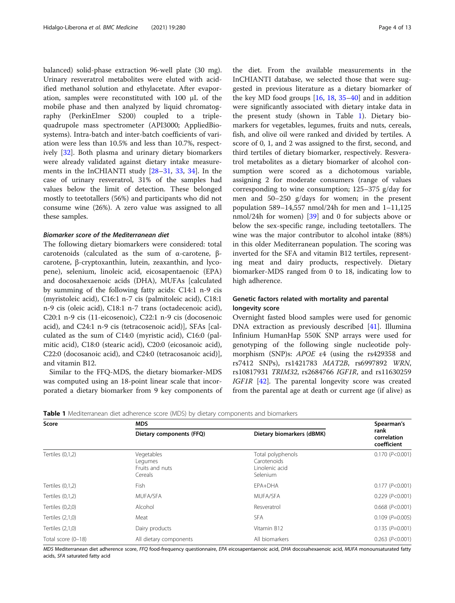<span id="page-3-0"></span>balanced) solid-phase extraction 96-well plate (30 mg). Urinary resveratrol metabolites were eluted with acidified methanol solution and ethylacetate. After evaporation, samples were reconstituted with 100 μL of the mobile phase and then analyzed by liquid chromatography (PerkinElmer S200) coupled to a triplequadrupole mass spectrometer (API3000; AppliedBiosystems). Intra-batch and inter-batch coefficients of variation were less than 10.5% and less than 10.7%, respectively [[32\]](#page-11-0). Both plasma and urinary dietary biomarkers were already validated against dietary intake measurements in the InCHIANTI study [\[28](#page-11-0)–[31,](#page-11-0) [33,](#page-11-0) [34\]](#page-12-0). In the case of urinary resveratrol, 31% of the samples had values below the limit of detection. These belonged mostly to teetotallers (56%) and participants who did not consume wine (26%). A zero value was assigned to all these samples.

# Biomarker score of the Mediterranean diet

The following dietary biomarkers were considered: total carotenoids (calculated as the sum of α-carotene, βcarotene, β-cryptoxanthin, lutein, zeaxanthin, and lycopene), selenium, linoleic acid, eicosapentaenoic (EPA) and docosahexaenoic acids (DHA), MUFAs [calculated by summing of the following fatty acids: C14:1 n-9 cis (myristoleic acid), C16:1 n-7 cis (palmitoleic acid), C18:1 n-9 cis (oleic acid), C18:1 n-7 trans (octadecenoic acid), C20:1 n-9 cis (11-eicosenoic), C22:1 n-9 cis (docosenoic acid), and C24:1 n-9 cis (tetracosenoic acid)], SFAs [calculated as the sum of C14:0 (myristic acid), C16:0 (palmitic acid), C18:0 (stearic acid), C20:0 (eicosanoic acid), C22:0 (docosanoic acid), and C24:0 (tetracosanoic acid)], and vitamin B12.

Similar to the FFQ-MDS, the dietary biomarker-MDS was computed using an 18-point linear scale that incorporated a dietary biomarker from 9 key components of

the diet. From the available measurements in the InCHIANTI database, we selected those that were suggested in previous literature as a dietary biomarker of the key MD food groups  $[16, 18, 35-40]$  $[16, 18, 35-40]$  $[16, 18, 35-40]$  $[16, 18, 35-40]$  $[16, 18, 35-40]$  $[16, 18, 35-40]$  $[16, 18, 35-40]$  $[16, 18, 35-40]$  and in addition were significantly associated with dietary intake data in the present study (shown in Table 1). Dietary biomarkers for vegetables, legumes, fruits and nuts, cereals, fish, and olive oil were ranked and divided by tertiles. A score of 0, 1, and 2 was assigned to the first, second, and third tertiles of dietary biomarker, respectively. Resveratrol metabolites as a dietary biomarker of alcohol consumption were scored as a dichotomous variable, assigning 2 for moderate consumers (range of values corresponding to wine consumption; 125–375 g/day for men and 50–250 g/days for women; in the present population 589–14,557 nmol/24h for men and 1–11,125 nmol/24h for women) [[39\]](#page-12-0) and 0 for subjects above or below the sex-specific range, including teetotallers. The wine was the major contributor to alcohol intake (88%) in this older Mediterranean population. The scoring was inverted for the SFA and vitamin B12 tertiles, representing meat and dairy products, respectively. Dietary biomarker-MDS ranged from 0 to 18, indicating low to high adherence.

# Genetic factors related with mortality and parental longevity score

Overnight fasted blood samples were used for genomic DNA extraction as previously described [\[41\]](#page-12-0). Illumina Infinium HumanHap 550K SNP arrays were used for genotyping of the following single nucleotide polymorphism (SNP)s: APOE ε4 (using the rs429358 and rs7412 SNPs), rs1421783 MAT2B, rs6997892 WRN, rs10817931 TRIM32, rs2684766 IGF1R, and rs11630259 IGF1R [\[42](#page-12-0)]. The parental longevity score was created from the parental age at death or current age (if alive) as

**Table 1** Mediterranean diet adherence score (MDS) by dietary components and biomarkers

| Score              | <b>MDS</b>                                          | Spearman's                                                     |                                    |
|--------------------|-----------------------------------------------------|----------------------------------------------------------------|------------------------------------|
|                    | Dietary components (FFQ)                            | Dietary biomarkers (dBMK)                                      | rank<br>correlation<br>coefficient |
| Tertiles (0,1,2)   | Vegetables<br>Legumes<br>Fruits and nuts<br>Cereals | Total polyphenols<br>Carotenoids<br>Linolenic acid<br>Selenium | $0.170$ ( $P<0.001$ )              |
| Tertiles $(0,1,2)$ | <b>Fish</b>                                         | EPA+DHA                                                        | 0.177 (P<0.001)                    |
| Tertiles (0,1,2)   | MUFA/SFA                                            | <b>MUFA/SFA</b>                                                | 0.229 (P<0.001)                    |
| Tertiles $(0,2,0)$ | Alcohol                                             | Resveratrol                                                    | $0.668$ ( $P<0.001$ )              |
| Tertiles (2,1,0)   | Meat                                                | <b>SFA</b>                                                     | $0.109$ ( $P=0.005$ )              |
| Tertiles (2,1,0)   | Dairy products                                      | Vitamin B12                                                    | $0.135$ ( $P=0.001$ )              |
| Total score (0-18) | All dietary components                              | All biomarkers                                                 | $0.263$ ( $P<0.001$ )              |

MDS Mediterranean diet adherence score, FFQ food-frequency questionnaire, EPA eicosapentaenoic acid, DHA docosahexaenoic acid, MUFA monounsaturated fatty acids, SFA saturated fatty acid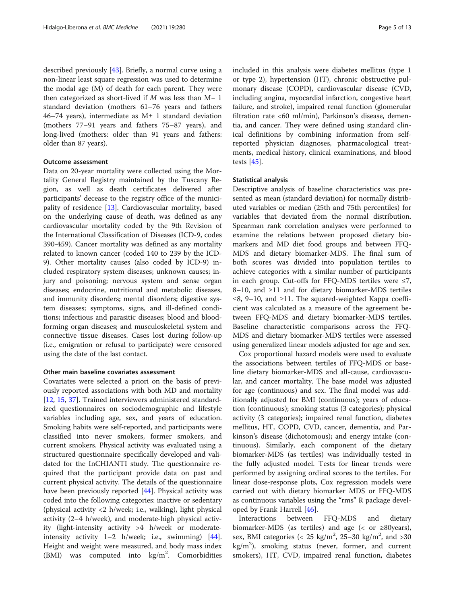described previously [\[43](#page-12-0)]. Briefly, a normal curve using a non-linear least square regression was used to determine the modal age (M) of death for each parent. They were then categorized as short-lived if M was less than M− 1 standard deviation (mothers 61–76 years and fathers 46–74 years), intermediate as  $M<sub>±</sub> 1$  standard deviation (mothers 77–91 years and fathers 75–87 years), and long-lived (mothers: older than 91 years and fathers: older than 87 years).

# Outcome assessment

Data on 20-year mortality were collected using the Mortality General Registry maintained by the Tuscany Region, as well as death certificates delivered after participants' decease to the registry office of the municipality of residence [\[13](#page-11-0)]. Cardiovascular mortality, based on the underlying cause of death, was defined as any cardiovascular mortality coded by the 9th Revision of the International Classification of Diseases (ICD-9, codes 390-459). Cancer mortality was defined as any mortality related to known cancer (coded 140 to 239 by the ICD-9). Other mortality causes (also coded by ICD-9) included respiratory system diseases; unknown causes; injury and poisoning; nervous system and sense organ diseases; endocrine, nutritional and metabolic diseases, and immunity disorders; mental disorders; digestive system diseases; symptoms, signs, and ill-defined conditions; infectious and parasitic diseases; blood and bloodforming organ diseases; and musculoskeletal system and connective tissue diseases. Cases lost during follow-up (i.e., emigration or refusal to participate) were censored using the date of the last contact.

# Other main baseline covariates assessment

Covariates were selected a priori on the basis of previously reported associations with both MD and mortality [[12,](#page-11-0) [15,](#page-11-0) [37\]](#page-12-0). Trained interviewers administered standardized questionnaires on sociodemographic and lifestyle variables including age, sex, and years of education. Smoking habits were self-reported, and participants were classified into never smokers, former smokers, and current smokers. Physical activity was evaluated using a structured questionnaire specifically developed and validated for the InCHIANTI study. The questionnaire required that the participant provide data on past and current physical activity. The details of the questionnaire have been previously reported [[44\]](#page-12-0). Physical activity was coded into the following categories: inactive or sedentary (physical activity <2 h/week; i.e., walking), light physical activity (2–4 h/week), and moderate-high physical activity (light-intensity activity >4 h/week or moderateintensity activity 1–2 h/week; i.e., swimming) [\[44](#page-12-0)]. Height and weight were measured, and body mass index  $(BMI)$  was computed into  $kg/m<sup>2</sup>$ . Comorbidities

included in this analysis were diabetes mellitus (type 1 or type 2), hypertension (HT), chronic obstructive pulmonary disease (COPD), cardiovascular disease (CVD, including angina, myocardial infarction, congestive heart failure, and stroke), impaired renal function (glomerular filtration rate <60 ml/min), Parkinson's disease, dementia, and cancer. They were defined using standard clinical definitions by combining information from selfreported physician diagnoses, pharmacological treatments, medical history, clinical examinations, and blood tests  $[45]$ .

# Statistical analysis

Descriptive analysis of baseline characteristics was presented as mean (standard deviation) for normally distributed variables or median (25th and 75th percentiles) for variables that deviated from the normal distribution. Spearman rank correlation analyses were performed to examine the relations between proposed dietary biomarkers and MD diet food groups and between FFQ-MDS and dietary biomarker-MDS. The final sum of both scores was divided into population tertiles to achieve categories with a similar number of participants in each group. Cut-offs for FFQ-MDS tertiles were  $\leq 7$ , 8–10, and ≥11 and for dietary biomarker-MDS tertiles ≤8, 9–10, and ≥11. The squared-weighted Kappa coefficient was calculated as a measure of the agreement between FFQ-MDS and dietary biomarker-MDS tertiles. Baseline characteristic comparisons across the FFQ-MDS and dietary biomarker-MDS tertiles were assessed using generalized linear models adjusted for age and sex.

Cox proportional hazard models were used to evaluate the associations between tertiles of FFQ-MDS or baseline dietary biomarker-MDS and all-cause, cardiovascular, and cancer mortality. The base model was adjusted for age (continuous) and sex. The final model was additionally adjusted for BMI (continuous); years of education (continuous); smoking status (3 categories); physical activity (3 categories); impaired renal function, diabetes mellitus, HT, COPD, CVD, cancer, dementia, and Parkinson's disease (dichotomous); and energy intake (continuous). Similarly, each component of the dietary biomarker-MDS (as tertiles) was individually tested in the fully adjusted model. Tests for linear trends were performed by assigning ordinal scores to the tertiles. For linear dose-response plots, Cox regression models were carried out with dietary biomarker MDS or FFQ-MDS as continuous variables using the "rms" R package developed by Frank Harrell [\[46](#page-12-0)].

Interactions between FFQ-MDS and dietary biomarker-MDS (as tertiles) and age (< or ≥80years), sex, BMI categories (<  $25 \text{ kg/m}^2$ ,  $25-30 \text{ kg/m}^2$ , and  $>30$ kg/m<sup>2</sup>), smoking status (never, former, and current smokers), HT, CVD, impaired renal function, diabetes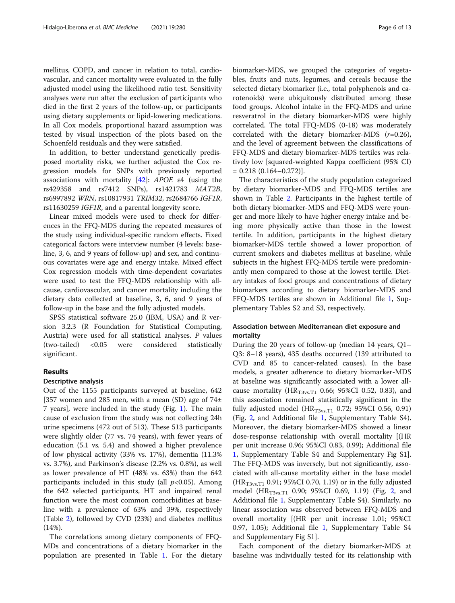mellitus, COPD, and cancer in relation to total, cardiovascular, and cancer mortality were evaluated in the fully adjusted model using the likelihood ratio test. Sensitivity analyses were run after the exclusion of participants who died in the first 2 years of the follow-up, or participants using dietary supplements or lipid-lowering medications. In all Cox models, proportional hazard assumption was tested by visual inspection of the plots based on the Schoenfeld residuals and they were satisfied.

In addition, to better understand genetically predisposed mortality risks, we further adjusted the Cox regression models for SNPs with previously reported associations with mortality  $[42]$  $[42]$ : APOE  $\varepsilon$ 4 (using the rs429358 and rs7412 SNPs), rs1421783 MAT2B, rs6997892 WRN, rs10817931 TRIM32, rs2684766 IGF1R, rs11630259 IGF1R, and a parental longevity score.

Linear mixed models were used to check for differences in the FFQ-MDS during the repeated measures of the study using individual-specific random effects. Fixed categorical factors were interview number (4 levels: baseline, 3, 6, and 9 years of follow-up) and sex, and continuous covariates were age and energy intake. Mixed effect Cox regression models with time-dependent covariates were used to test the FFQ-MDS relationship with allcause, cardiovascular, and cancer mortality including the dietary data collected at baseline, 3, 6, and 9 years of follow-up in the base and the fully adjusted models.

SPSS statistical software 25.0 (IBM, USA) and R version 3.2.3 (R Foundation for Statistical Computing, Austria) were used for all statistical analyses. P values (two-tailed) <0.05 were considered statistically significant.

# Results

# Descriptive analysis

Out of the 1155 participants surveyed at baseline, 642 [357 women and 285 men, with a mean (SD) age of  $74\pm$ 7 years], were included in the study (Fig. [1](#page-6-0)). The main cause of exclusion from the study was not collecting 24h urine specimens (472 out of 513). These 513 participants were slightly older (77 vs. 74 years), with fewer years of education (5.1 vs. 5.4) and showed a higher prevalence of low physical activity (33% vs. 17%), dementia (11.3% vs. 3.7%), and Parkinson's disease (2.2% vs. 0.8%), as well as lower prevalence of HT (48% vs. 63%) than the 642 participants included in this study (all  $p<0.05$ ). Among the 642 selected participants, HT and impaired renal function were the most common comorbidities at baseline with a prevalence of 63% and 39%, respectively (Table [2](#page-7-0)), followed by CVD (23%) and diabetes mellitus (14%).

The correlations among dietary components of FFQ-MDs and concentrations of a dietary biomarker in the population are presented in Table [1.](#page-3-0) For the dietary

biomarker-MDS, we grouped the categories of vegetables, fruits and nuts, legumes, and cereals because the selected dietary biomarker (i.e., total polyphenols and carotenoids) were ubiquitously distributed among these food groups. Alcohol intake in the FFQ-MDS and urine resveratrol in the dietary biomarker-MDS were highly correlated. The total FFQ-MDS (0-18) was moderately correlated with the dietary biomarker-MDS  $(r=0.26)$ , and the level of agreement between the classifications of FFQ-MDS and dietary biomarker-MDS tertiles was relatively low [squared-weighted Kappa coefficient (95% CI)  $= 0.218 (0.164 - 0.272)$ .

The characteristics of the study population categorized by dietary biomarker-MDS and FFQ-MDS tertiles are shown in Table [2](#page-7-0). Participants in the highest tertile of both dietary biomarker-MDS and FFQ-MDS were younger and more likely to have higher energy intake and being more physically active than those in the lowest tertile. In addition, participants in the highest dietary biomarker-MDS tertile showed a lower proportion of current smokers and diabetes mellitus at baseline, while subjects in the highest FFQ-MDS tertile were predominantly men compared to those at the lowest tertile. Dietary intakes of food groups and concentrations of dietary biomarkers according to dietary biomarker-MDS and FFQ-MDS tertiles are shown in Additional file [1,](#page-10-0) Supplementary Tables S2 and S3, respectively.

# Association between Mediterranean diet exposure and mortality

During the 20 years of follow-up (median 14 years, Q1– Q3: 8–18 years), 435 deaths occurred (139 attributed to CVD and 85 to cancer-related causes). In the base models, a greater adherence to dietary biomarker-MDS at baseline was significantly associated with a lower allcause mortality ( $HR_{T3vs.T1}$  0.66; 95%CI 0.52, 0.83), and this association remained statistically significant in the fully adjusted model ( $HR_{T3ys,T1}$  0.72; 95%CI 0.56, 0.91) (Fig. [2](#page-8-0), and Additional file [1,](#page-10-0) Supplementary Table S4). Moreover, the dietary biomarker-MDS showed a linear dose-response relationship with overall mortality [(HR per unit increase 0.96; 95%CI 0.83, 0.99); Additional file [1,](#page-10-0) Supplementary Table S4 and Supplementary Fig S1]. The FFQ-MDS was inversely, but not significantly, associated with all-cause mortality either in the base model  $(HR<sub>T3vs.T1</sub> 0.91; 95% CI 0.70, 1.19)$  or in the fully adjusted model  $(HR_{T3vs,T1}$  0.90; 95%CI 0.69, 1.19) (Fig. [2](#page-8-0), and Additional file [1,](#page-10-0) Supplementary Table S4). Similarly, no linear association was observed between FFQ-MDS and overall mortality [(HR per unit increase 1.01; 95%CI 0.97, 1.05); Additional file [1,](#page-10-0) Supplementary Table S4 and Supplementary Fig S1].

Each component of the dietary biomarker-MDS at baseline was individually tested for its relationship with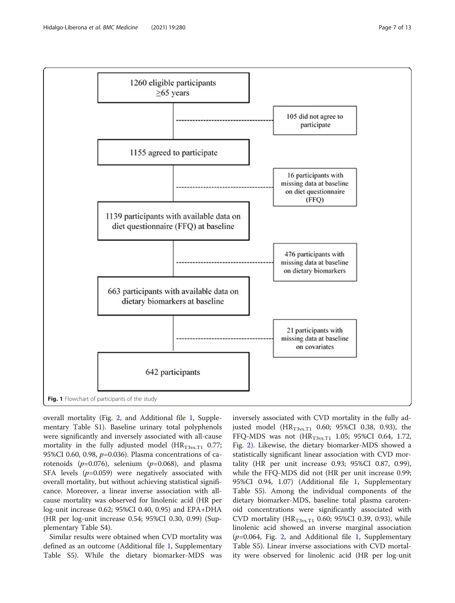<span id="page-6-0"></span>

overall mortality (Fig. [2](#page-8-0), and Additional file [1,](#page-10-0) Supplementary Table S1). Baseline urinary total polyphenols were significantly and inversely associated with all-cause mortality in the fully adjusted model ( $HR_{T3vs,T1}$  0.77; 95%CI 0.60, 0.98,  $p=0.036$ ). Plasma concentrations of carotenoids ( $p=0.076$ ), selenium ( $p=0.068$ ), and plasma SFA levels  $(p=0.059)$  were negatively associated with overall mortality, but without achieving statistical significance. Moreover, a linear inverse association with allcause mortality was observed for linolenic acid (HR per log-unit increase 0.62; 95%CI 0.40, 0.95) and EPA+DHA (HR per log-unit increase 0.54; 95%CI 0.30, 0.99) (Supplementary Table S4).

Similar results were obtained when CVD mortality was defined as an outcome (Additional file [1,](#page-10-0) Supplementary Table S5). While the dietary biomarker-MDS was inversely associated with CVD mortality in the fully adjusted model  $(HR_{T3vs,T1}$  0.60; 95%CI 0.38, 0.93), the FFQ-MDS was not  $(HR_{T3vs.T1} 1.05; 95\% CI 0.64, 1.72,$ Fig. [2](#page-8-0)). Likewise, the dietary biomarker-MDS showed a statistically significant linear association with CVD mortality (HR per unit increase 0.93; 95%CI 0.87, 0.99), while the FFQ-MDS did not (HR per unit increase 0.99; 95%CI 0.94, 1.07) (Additional file [1](#page-10-0), Supplementary Table S5). Among the individual components of the dietary biomarker-MDS, baseline total plasma carotenoid concentrations were significantly associated with CVD mortality ( $HR_{T3vs.T1}$  0.60; 95%CI 0.39, 0.93), while linolenic acid showed an inverse marginal association  $(p=0.064,$  Fig. [2](#page-8-0), and Additional file [1](#page-10-0), Supplementary Table S5). Linear inverse associations with CVD mortality were observed for linolenic acid (HR per log-unit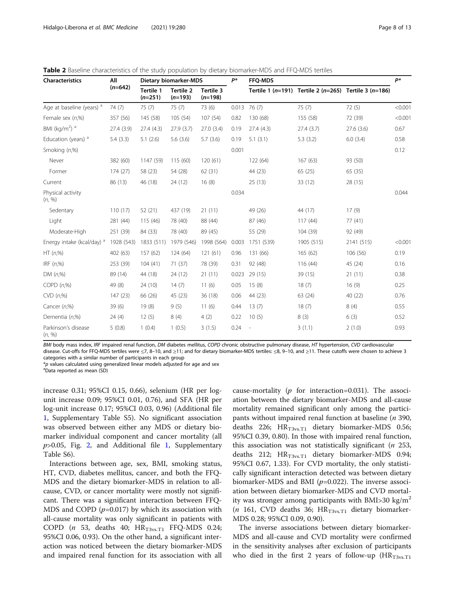| <b>Characteristics</b>                | All        | Dietary biomarker-MDS  |                               | p*                     | FFQ-MDS |                  |                                                       | p*         |         |
|---------------------------------------|------------|------------------------|-------------------------------|------------------------|---------|------------------|-------------------------------------------------------|------------|---------|
|                                       | $(n=642)$  | Tertile 1<br>$(n=251)$ | <b>Tertile 2</b><br>$(n=193)$ | Tertile 3<br>$(n=198)$ |         |                  | Tertile 1 (n=191) Tertile 2 (n=265) Tertile 3 (n=186) |            |         |
| Age at baseline (years) <sup>a</sup>  | 74 (7)     | 75(7)                  | 75(7)                         | 73 (6)                 |         | $0.013$ 76 $(7)$ | 75(7)                                                 | 72(5)      | < 0.001 |
| Female sex (n,%)                      | 357 (56)   | 145 (58)               | 105 (54)                      | 107 (54)               | 0.82    | 130 (68)         | 155 (58)                                              | 72 (39)    | < 0.001 |
| BMI ( $kg/m2$ ) <sup>a</sup>          | 27.4 (3.9) | 27.4(4.3)              | 27.9(3.7)                     | 27.0 (3.4)             | 0.19    | 27.4(4.3)        | 27.4(3.7)                                             | 27.6(3.6)  | 0.67    |
| Education (years) <sup>a</sup>        | 5.4(3.3)   | 5.1(2.6)               | 5.6(3.6)                      | 5.7(3.6)               | 0.19    | 5.1(3.1)         | 5.3(3.2)                                              | 6.0(3.4)   | 0.58    |
| Smoking (n,%)                         |            |                        |                               |                        | 0.001   |                  |                                                       |            | 0.12    |
| Never                                 | 382 (60)   | 1147 (59)              | 115 (60)                      | 120(61)                |         | 122 (64)         | 167(63)                                               | 93 (50)    |         |
| Former                                | 174(27)    | 58 (23)                | 54 (28)                       | 62 (31)                |         | 44 (23)          | 65(25)                                                | 65(35)     |         |
| Current                               | 86 (13)    | 46 (18)                | 24 (12)                       | 16(8)                  |         | 25(13)           | 33 (12)                                               | 28 (15)    |         |
| Physical activity<br>(n, %)           |            |                        |                               |                        | 0.034   |                  |                                                       |            | 0.044   |
| Sedentary                             | 110(17)    | 52 (21)                | 437 (19)                      | 21(11)                 |         | 49 (26)          | 44 (17)                                               | 17(9)      |         |
| Light                                 | 281 (44)   | 115(46)                | 78 (40)                       | 88 (44)                |         | 87 (46)          | 117(44)                                               | 77(41)     |         |
| Moderate-High                         | 251 (39)   | 84 (33)                | 78 (40)                       | 89 (45)                |         | 55 (29)          | 104 (39)                                              | 92 (49)    |         |
| Energy intake (kcal/day) <sup>a</sup> | 1928 (543) | 1833 (511)             | 1979 (546)                    | 1998 (564)             | 0.003   | 1751 (539)       | 1905 (515)                                            | 2141 (515) | < 0.001 |
| HT(n,%)                               | 402 (63)   | 157 (62)               | 124(64)                       | 121(61)                | 0.96    | 131 (66)         | 165 (62)                                              | 106 (56)   | 0.19    |
| IRF $(n, %)$                          | 253 (39)   | 104(41)                | 71(37)                        | 78 (39)                | 0.31    | 92 (48)          | 116 (44)                                              | 45 (24)    | 0.16    |
| DM(n,%)                               | 89 (14)    | 44 (18)                | 24 (12)                       | 21(11)                 | 0.023   | 29 (15)          | 39 (15)                                               | 21(11)     | 0.38    |
| COPD(n,%)                             | 49 (8)     | 24 (10)                | 14(7)                         | 11(6)                  | 0.05    | 15(8)            | 18(7)                                                 | 16(9)      | 0.25    |
| $CVD$ $(n,%)$                         | 147(23)    | 66 (26)                | 45 (23)                       | 36(18)                 | 0.06    | 44 (23)          | 63(24)                                                | 40 (22)    | 0.76    |
| Cancer (n,%)                          | 39(6)      | 19(8)                  | 9(5)                          | 11(6)                  | 0.44    | 13(7)            | 18(7)                                                 | 8(4)       | 0.55    |
| Dementia (n,%)                        | 24(4)      | 12(5)                  | 8(4)                          | 4(2)                   | 0.22    | 10(5)            | 8(3)                                                  | 6(3)       | 0.52    |
| Parkinson's disease<br>(n, %)         | 5(0.8)     | 1(0.4)                 | 1(0.5)                        | 3(1.5)                 | 0.24    |                  | 3(1.1)                                                | 2(1.0)     | 0.93    |

<span id="page-7-0"></span>Table 2 Baseline characteristics of the study population by dietary biomarker-MDS and FFQ-MDS tertiles

BMI body mass index, IRF impaired renal function, DM diabetes mellitus, COPD chronic obstructive pulmonary disease, HT hypertension, CVD cardiovascular disease. Cut-offs for FFQ-MDS tertiles were ≤7, 8–10, and ≥11; and for dietary biomarker-MDS tertiles: ≤8, 9–10, and ≥11. These cutoffs were chosen to achieve 3 categories with a similar number of participants in each group

 $*p$  values calculated using generalized linear models adjusted for age and sex

Data reported as mean (SD)

increase 0.31; 95%CI 0.15, 0.66), selenium (HR per logunit increase 0.09; 95%CI 0.01, 0.76), and SFA (HR per log-unit increase 0.17; 95%CI 0.03, 0.96) (Additional file [1,](#page-10-0) Supplementary Table S5). No significant association was observed between either any MDS or dietary biomarker individual component and cancer mortality (all  $p > 0.05$ , Fig. [2](#page-8-0), and Additional file [1,](#page-10-0) Supplementary Table S6).

Interactions between age, sex, BMI, smoking status, HT, CVD, diabetes mellitus, cancer, and both the FFQ-MDS and the dietary biomarker-MDS in relation to allcause, CVD, or cancer mortality were mostly not significant. There was a significant interaction between FFQ-MDS and COPD  $(p=0.017)$  by which its association with all-cause mortality was only significant in patients with COPD (*n* 53, deaths 40;  $HR_{T3vs,T1}$  FFQ-MDS 0.24; 95%CI 0.06, 0.93). On the other hand, a significant interaction was noticed between the dietary biomarker-MDS and impaired renal function for its association with all

cause-mortality ( $p$  for interaction=0.031). The association between the dietary biomarker-MDS and all-cause mortality remained significant only among the participants without impaired renal function at baseline  $(n 390,$ deaths 226;  $HR_{T3vs,T1}$  dietary biomarker-MDS 0.56; 95%CI 0.39, 0.80). In those with impaired renal function, this association was not statistically significant  $(n \t253,$ deaths 212;  $HR_{T3vs.T1}$  dietary biomarker-MDS 0.94; 95%CI 0.67, 1.33). For CVD mortality, the only statistically significant interaction detected was between dietary biomarker-MDS and BMI ( $p=0.022$ ). The inverse association between dietary biomarker-MDS and CVD mortality was stronger among participants with BMI>30 kg/m<sup>2</sup>  $(n \text{ 161, CVD deaths } 36; \text{ HR}_{T3\text{vs.T1}} \text{ dietary biomarker-}$ MDS 0.28; 95%CI 0.09, 0.90).

The inverse associations between dietary biomarker-MDS and all-cause and CVD mortality were confirmed in the sensitivity analyses after exclusion of participants who died in the first 2 years of follow-up  $(HR<sub>T3vs.T1</sub>)$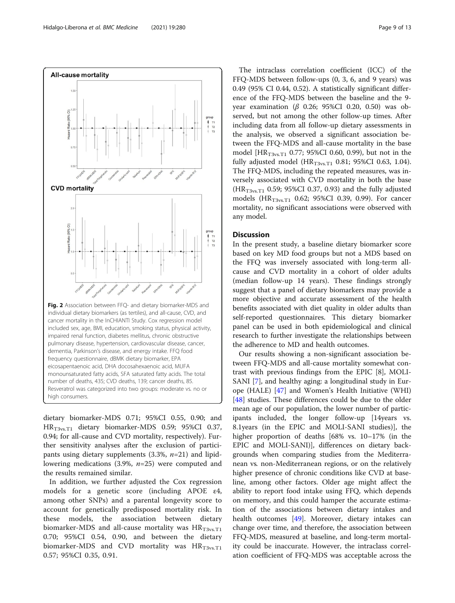<span id="page-8-0"></span>

dietary biomarker-MDS 0.71; 95%CI 0.55, 0.90; and  $HR_{T3ys,T1}$  dietary biomarker-MDS 0.59; 95%CI 0.37, 0.94; for all-cause and CVD mortality, respectively). Further sensitivity analyses after the exclusion of participants using dietary supplements  $(3.3\%, n=21)$  and lipidlowering medications (3.9%,  $n=25$ ) were computed and the results remained similar.

In addition, we further adjusted the Cox regression models for a genetic score (including APOE ε4, among other SNPs) and a parental longevity score to account for genetically predisposed mortality risk. In these models, the association between dietary biomarker-MDS and all-cause mortality was  $HR_{T3vs.T1}$ 0.70; 95%CI 0.54, 0.90, and between the dietary biomarker-MDS and CVD mortality was  $HR_{T3\text{vs.T1}}$ 0.57; 95%CI 0.35, 0.91.

The intraclass correlation coefficient (ICC) of the FFQ-MDS between follow-ups (0, 3, 6, and 9 years) was 0.49 (95% CI 0.44, 0.52). A statistically significant difference of the FFQ-MDS between the baseline and the 9 year examination ( $β$  0.26; 95%CI 0.20, 0.50) was observed, but not among the other follow-up times. After including data from all follow-up dietary assessments in the analysis, we observed a significant association between the FFQ-MDS and all-cause mortality in the base model [HR<sub>T3vs.T1</sub> 0.77; 95%CI 0.60, 0.99), but not in the fully adjusted model ( $HR_{T3vs,T1}$  0.81; 95%CI 0.63, 1.04). The FFQ-MDS, including the repeated measures, was inversely associated with CVD mortality in both the base  $(HR<sub>T3vs.T1</sub> 0.59; 95% CI 0.37, 0.93)$  and the fully adjusted models ( $HR_{T3\text{vs}}T1$  0.62; 95%CI 0.39, 0.99). For cancer mortality, no significant associations were observed with any model.

# **Discussion**

In the present study, a baseline dietary biomarker score based on key MD food groups but not a MDS based on the FFQ was inversely associated with long-term allcause and CVD mortality in a cohort of older adults (median follow-up 14 years). These findings strongly suggest that a panel of dietary biomarkers may provide a more objective and accurate assessment of the health benefits associated with diet quality in older adults than self-reported questionnaires. This dietary biomarker panel can be used in both epidemiological and clinical research to further investigate the relationships between the adherence to MD and health outcomes.

Our results showing a non-significant association between FFQ-MDS and all-cause mortality somewhat contrast with previous findings from the EPIC [8], MOLI-SANI [[7\]](#page-11-0), and healthy aging: a longitudinal study in Europe (HALE) [\[47](#page-12-0)] and Women's Health Initiative (WHI) [[48\]](#page-12-0) studies. These differences could be due to the older mean age of our population, the lower number of participants included, the longer follow-up [14years vs. 8.1years (in the EPIC and MOLI-SANI studies)], the higher proportion of deaths [68% vs. 10–17% (in the EPIC and MOLI-SANI)], differences on dietary backgrounds when comparing studies from the Mediterranean vs. non-Mediterranean regions, or on the relatively higher presence of chronic conditions like CVD at baseline, among other factors. Older age might affect the ability to report food intake using FFQ, which depends on memory, and this could hamper the accurate estimation of the associations between dietary intakes and health outcomes [\[49](#page-12-0)]. Moreover, dietary intakes can change over time, and therefore, the association between FFQ-MDS, measured at baseline, and long-term mortality could be inaccurate. However, the intraclass correlation coefficient of FFQ-MDS was acceptable across the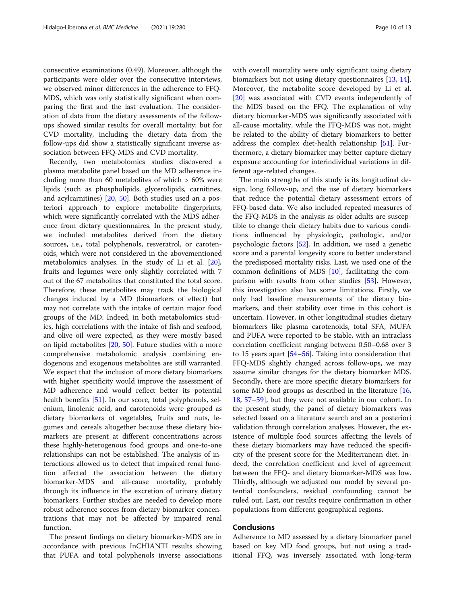consecutive examinations (0.49). Moreover, although the participants were older over the consecutive interviews, we observed minor differences in the adherence to FFQ-MDS, which was only statistically significant when comparing the first and the last evaluation. The consideration of data from the dietary assessments of the followups showed similar results for overall mortality; but for CVD mortality, including the dietary data from the follow-ups did show a statistically significant inverse association between FFQ-MDS and CVD mortality.

Recently, two metabolomics studies discovered a plasma metabolite panel based on the MD adherence including more than 60 metabolites of which > 60% were lipids (such as phospholipids, glycerolipids, carnitines, and acylcarnitines) [[20](#page-11-0), [50\]](#page-12-0). Both studies used an a posteriori approach to explore metabolite fingerprints, which were significantly correlated with the MDS adherence from dietary questionnaires. In the present study, we included metabolites derived from the dietary sources, i.e., total polyphenols, resveratrol, or carotenoids, which were not considered in the abovementioned metabolomics analyses. In the study of Li et al. [\[20](#page-11-0)], fruits and legumes were only slightly correlated with 7 out of the 67 metabolites that constituted the total score. Therefore, these metabolites may track the biological changes induced by a MD (biomarkers of effect) but may not correlate with the intake of certain major food groups of the MD. Indeed, in both metabolomics studies, high correlations with the intake of fish and seafood, and olive oil were expected, as they were mostly based on lipid metabolites [\[20,](#page-11-0) [50](#page-12-0)]. Future studies with a more comprehensive metabolomic analysis combining endogenous and exogenous metabolites are still warranted. We expect that the inclusion of more dietary biomarkers with higher specificity would improve the assessment of MD adherence and would reflect better its potential health benefits [[51\]](#page-12-0). In our score, total polyphenols, selenium, linolenic acid, and carotenoids were grouped as dietary biomarkers of vegetables, fruits and nuts, legumes and cereals altogether because these dietary biomarkers are present at different concentrations across these highly-heterogenous food groups and one-to-one relationships can not be established. The analysis of interactions allowed us to detect that impaired renal function affected the association between the dietary biomarker-MDS and all-cause mortality, probably through its influence in the excretion of urinary dietary biomarkers. Further studies are needed to develop more robust adherence scores from dietary biomarker concentrations that may not be affected by impaired renal function.

The present findings on dietary biomarker-MDS are in accordance with previous InCHIANTI results showing that PUFA and total polyphenols inverse associations with overall mortality were only significant using dietary biomarkers but not using dietary questionnaires [\[13](#page-11-0), [14](#page-11-0)]. Moreover, the metabolite score developed by Li et al. [[20\]](#page-11-0) was associated with CVD events independently of the MDS based on the FFQ. The explanation of why dietary biomarker-MDS was significantly associated with all-cause mortality, while the FFQ-MDS was not, might be related to the ability of dietary biomarkers to better address the complex diet-health relationship [\[51\]](#page-12-0). Furthermore, a dietary biomarker may better capture dietary exposure accounting for interindividual variations in different age-related changes.

The main strengths of this study is its longitudinal design, long follow-up, and the use of dietary biomarkers that reduce the potential dietary assessment errors of FFQ-based data. We also included repeated measures of the FFQ-MDS in the analysis as older adults are susceptible to change their dietary habits due to various conditions influenced by physiologic, pathologic, and/or psychologic factors [[52\]](#page-12-0). In addition, we used a genetic score and a parental longevity score to better understand the predisposed mortality risks. Last, we used one of the common definitions of MDS [[10\]](#page-11-0), facilitating the comparison with results from other studies [\[53\]](#page-12-0). However, this investigation also has some limitations. Firstly, we only had baseline measurements of the dietary biomarkers, and their stability over time in this cohort is uncertain. However, in other longitudinal studies dietary biomarkers like plasma carotenoids, total SFA, MUFA and PUFA were reported to be stable, with an intraclass correlation coefficient ranging between 0.50–0.68 over 3 to 15 years apart [[54](#page-12-0)–[56](#page-12-0)]. Taking into consideration that FFQ-MDS slightly changed across follow-ups, we may assume similar changes for the dietary biomarker MDS. Secondly, there are more specific dietary biomarkers for some MD food groups as described in the literature [[16](#page-11-0), [18,](#page-11-0) [57](#page-12-0)–[59](#page-12-0)], but they were not available in our cohort. In the present study, the panel of dietary biomarkers was selected based on a literature search and an a posteriori validation through correlation analyses. However, the existence of multiple food sources affecting the levels of these dietary biomarkers may have reduced the specificity of the present score for the Mediterranean diet. Indeed, the correlation coefficient and level of agreement between the FFQ- and dietary biomarker-MDS was low. Thirdly, although we adjusted our model by several potential confounders, residual confounding cannot be ruled out. Last, our results require confirmation in other populations from different geographical regions.

# Conclusions

Adherence to MD assessed by a dietary biomarker panel based on key MD food groups, but not using a traditional FFQ, was inversely associated with long-term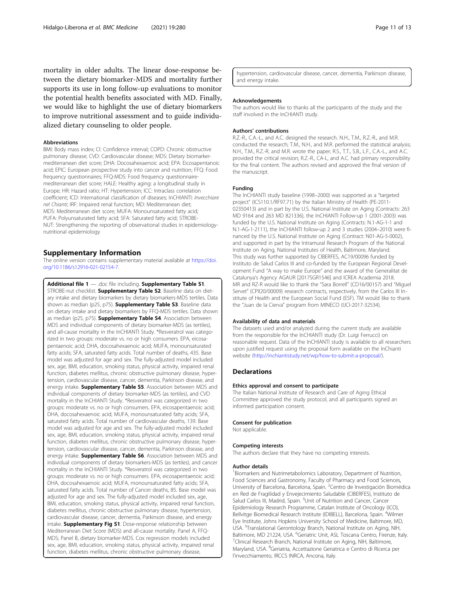<span id="page-10-0"></span>mortality in older adults. The linear dose-response between the dietary biomarker-MDS and mortality further supports its use in long follow-up evaluations to monitor the potential health benefits associated with MD. Finally, we would like to highlight the use of dietary biomarkers to improve nutritional assessment and to guide individualized dietary counseling to older people.

#### Abbreviations

BMI: Body mass index; CI: Confidence interval; COPD: Chronic obstructive pulmonary disease; CVD: Cardiovascular disease; MDS: Dietary biomarkermediterranean diet score; DHA: Docosahexaenoic acid; EPA: Eicosapentanoic acid; EPIC: European prospective study into cancer and nutrition; FFQ: Food frequency questionnaires; FFQ-MDS: Food frequency questionnairemediterranean diet score; HALE: Healthy aging: a longitudinal study in Europe; HR: Hazard ratio; HT: Hypertension; ICC: Intraclass correlation coefficient; ICD: International classification of diseases; InCHIANTI: Invecchiare nel Chianti; IRF: Impaired renal function; MD: Mediterranean diet; MDS: Mediterranean diet score; MUFA: Monounsaturated fatty acid; PUFA: Polyunsaturated fatty acid; SFA: Saturated fatty acid; STROBE-NUT: Strengthening the reporting of observational studies in epidemiologynutritional epidemiology

## Supplementary Information

The online version contains supplementary material available at [https://doi.](https://doi.org/10.1186/s12916-021-02154-7) [org/10.1186/s12916-021-02154-7.](https://doi.org/10.1186/s12916-021-02154-7)

Additional file 1 - .doc file including. Supplementary Table S1. STROBE-nut checklist. Supplementary Table S2. Baseline data on dietary intake and dietary biomarkers by dietary biomarkers-MDS tertiles. Data shown as median (p25, p75). **Supplementary Table S3**. Baseline data on dietary intake and dietary biomarkers by FFQ-MDS tertiles. Data shown as median (p25, p75). **Supplementary Table S4**. Association between MDS and individual components of dietary biomarker-MDS (as tertiles), and all-cause mortality in the InCHIANTI Study. \*Resveratrol was categorized in two groups: moderate vs. no or high consumers. EPA, eicosapentaenoic acid; DHA, docosahexaenoic acid; MUFA, monounsaturated fatty acids; SFA, saturated fatty acids. Total number of deaths, 435. Base model was adjusted for age and sex. The fully-adjusted model included sex, age, BMI, education, smoking status, physical activity, impaired renal function, diabetes mellitus, chronic obstructive pulmonary disease, hypertension, cardiovascular disease, cancer, dementia, Parkinson disease, and energy intake. **Supplementary Table S5**. Association between MDS and individual components of dietary biomarker-MDS (as tertiles), and CVD mortality in the InCHIANTI Study. \*Resveratrol was categorized in two groups: moderate vs. no or high consumers. EPA, eicosapentaenoic acid; DHA, docosahexaenoic acid; MUFA, monounsaturated fatty acids; SFA, saturated fatty acids. Total number of cardiovascular deaths, 139. Base model was adjusted for age and sex. The fully-adjusted model included sex, age, BMI, education, smoking status, physical activity, impaired renal function, diabetes mellitus, chronic obstructive pulmonary disease, hypertension, cardiovascular disease, cancer, dementia, Parkinson disease, and energy intake. Supplementary Table S6. Association between MDS and individual components of dietary biomarkers-MDS (as tertiles), and cancer mortality in the InCHIANTI Study. \*Resveratrol was categorized in two groups: moderate vs. no or high consumers. EPA, eicosapentaenoic acid; DHA, docosahexaenoic acid; MUFA, monounsaturated fatty acids; SFA, saturated fatty acids. Total number of Cancer deaths, 85. Base model was adjusted for age and sex. The fully-adjusted model included sex, age, BMI, education, smoking status, physical activity, impaired renal function, diabetes mellitus, chronic obstructive pulmonary disease, hypertension, cardiovascular disease, cancer, dementia, Parkinson disease, and energy intake. Supplementary Fig S1. Dose-response relationship between Mediterranean Diet Score (MDS) and all-cause mortality. Panel A, FFQ-MDS; Panel B, dietary biomarker-MDS. Cox regression models included sex, age, BMI, education, smoking status, physical activity, impaired renal function, diabetes mellitus, chronic obstructive pulmonary disease,

hypertension, cardiovascular disease, cancer, dementia, Parkinson disease, and energy intake.

#### Acknowledgements

The authors would like to thanks all the participants of the study and the staff involved in the InCHIANTI study.

#### Authors' contributions

R.Z.-R., C.A.-L., and A.C. designed the research. N.H., T.M., R.Z.-R., and M.R. conducted the research; T.M., N.H., and M.R. performed the statistical analysis; N.H., T.M., R.Z.-R, and M.R. wrote the paper; R.S., T.T., S.B., L.F., C.A.-L., and A.C. provided the critical revision; R.Z.-R., CA-L, and A.C. had primary responsibility for the final content. The authors revised and approved the final version of the manuscript.

#### Funding

The InCHIANTI study baseline (1998–2000) was supported as a "targeted project" (ICS110.1/RF97.71) by the Italian Ministry of Health (PE-2011- 02350413) and in part by the U.S. National Institute on Aging (Contracts: 263 MD 9164 and 263 MD 821336), the InCHIANTI Follow-up 1 (2001-2003) was funded by the U.S. National Institute on Aging (Contracts: N.1-AG-1-1 and N.1-AG-1-2111), the InCHIANTI follow-up 2 and 3 studies (2004–2010) were financed by the U.S. National Institute on Aging (Contract: N01-AG-5-0002), and supported in part by the Intramural Research Program of the National Institute on Aging, National Institutes of Health, Baltimore, Maryland. This study was further supported by CIBERFES, AC19/00096 funded by Instituto de Salud Carlos III and co-funded by the European Regional Development Fund "A way to make Europe" and the award of the Generalitat de Catalunya's Agency AGAUR [2017SGR1546] and ICREA Academia 2018. MR and RZ-R would like to thank the "Sara Borrell" (CD16/00157) and "Miguel Servet" (CPII20/00009) research contracts, respectively, from the Carlos III Institute of Health and the European Social Fund (ESF). TM would like to thank the "Juan de la Cierva" program from MINECO (IJCI-2017-32534).

#### Availability of data and materials

The datasets used and/or analyzed during the current study are available from the responsible for the InCHIANTI study (Dr. Luigi Ferrucci) on reasonable request. Data of the InCHIANTI study is available to all researchers upon justified request using the proposal form available on the InChianti website [\(http://inchiantistudy.net/wp/how-to-submit-a-proposal/\)](http://inchiantistudy.net/wp/how-to-submit-a-proposal/).

#### **Declarations**

#### Ethics approval and consent to participate

The Italian National Institute of Research and Care of Aging Ethical Committee approved the study protocol, and all participants signed an informed participation consent.

#### Consent for publication

Not applicable.

### Competing interests

The authors declare that they have no competing interests.

#### Author details

<sup>1</sup> Biomarkers and Nutrimetabolomics Laboratory, Department of Nutrition, Food Sciences and Gastronomy, Faculty of Pharmacy and Food Sciences, University of Barcelona, Barcelona, Spain. <sup>2</sup>Centro de Investigación Biomédica en Red de Fragilidad y Envejecimiento Saludable (CIBERFES), Instituto de Salud Carlos III, Madrid, Spain. <sup>3</sup>Unit of Nutrition and Cancer, Cancer Epidemiology Research Programme, Catalan Institute of Oncology (ICO), Bellvitge Biomedical Research Institute (IDIBELL), Barcelona, Spain. <sup>4</sup>Wilmer Eye Institute, Johns Hopkins University School of Medicine, Baltimore, MD, USA. <sup>5</sup>Translational Gerontology Branch, National Institute on Aging, NIH Baltimore, MD 21224, USA. <sup>6</sup>Geriatric Unit, ASL Toscana Centro, Firenze, Italy.<br><sup>7</sup>Clinical Pesoarch Branch, National Institute on Aging, NIH, Baltimore. Clinical Research Branch, National Institute on Aging, NIH, Baltimore, Maryland, USA. <sup>8</sup>Geriatria, Accettazione Geriatrica e Centro di Ricerca per l'invecchiamento, IRCCS INRCA, Ancona, Italy.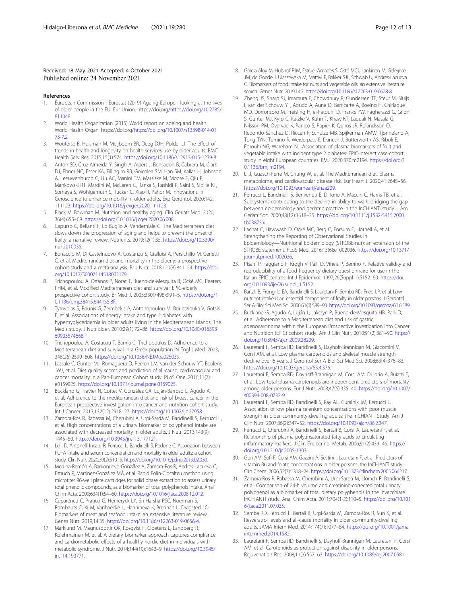# <span id="page-11-0"></span>Received: 18 May 2021 Accepted: 4 October 2021 Published online: 24 November 2021

#### References

- 1. European Commission Eurostat (2019) Ageing Europe looking at the lives of older people in the EU. Eur Union. https://doi.org/[https://doi.org/10.2785/](https://doi.org/10.2785/811048) [811048](https://doi.org/10.2785/811048)
- 2. World Health Organization (2015) World report on ageing and health. World Health Organ. https://doi.org/[https://doi.org/10.1007/s13398-014-01](https://doi.org/10.1007/s13398-014-0173-7.2) 73-72
- 3. Wouterse B, Huisman M, Meijboom BR, Deeg DJH, Polder JJ. The effect of trends in health and longevity on health services use by older adults. BMC Health Serv Res. 2015;15(1):574. <https://doi.org/10.1186/s12913-015-1239-8>.
- 4. Anton SD, Cruz-Almeida Y, Singh A, Alpert J, Bensadon B, Cabrera M, Clark DJ, Ebner NC, Esser KA, Fillingim RB, Goicolea SM, Han SM, Kallas H, Johnson A, Leeuwenburgh C, Liu AC, Manini TM, Marsiske M, Moore F, Qiu P, Mankowski RT, Mardini M, McLaren C, Ranka S, Rashidi P, Saini S, Sibille KT, Someya S, Wohlgemuth S, Tucker C, Xiao R, Pahor M. Innovations in Geroscience to enhance mobility in older adults. Exp Gerontol. 2020;142: 111123. [https://doi.org/10.1016/j.exger.2020.111123.](https://doi.org/10.1016/j.exger.2020.111123)
- Black M, Bowman M. Nutrition and healthy aging. Clin Geriatr Med. 2020; 36(4):655–69. <https://doi.org/10.1016/j.cger.2020.06.008>.
- 6. Capurso C, Bellanti F, Lo Buglio A, Vendemiale G. The Mediterranean diet slows down the progression of aging and helps to prevent the onset of frailty: a narrative review. Nutrients. 2019;12(1):35. [https://doi.org/10.3390/](https://doi.org/10.3390/nu12010035) [nu12010035](https://doi.org/10.3390/nu12010035).
- 7. Bonaccio M, Di Castelnuovo A, Costanzo S, Gialluisi A, Persichillo M, Cerletti C, et al. Mediterranean diet and mortality in the elderly: a prospective cohort study and a meta-analysis. Br J Nutr. 2018;120(8):841–54. [https://doi.](https://doi.org/10.1017/S0007114518002179) [org/10.1017/S0007114518002179.](https://doi.org/10.1017/S0007114518002179)
- 8. Trichopoulou A, Orfanos P, Norat T, Bueno-de-Mesquita B, Ocké MC, Peeters PHM, et al. Modified Mediterranean diet and survival: EPIC-elderly prospective cohort study. Br Med J. 2005;330(7498):991–5. [https://doi.org/1](https://doi.org/10.1136/bmj.38415.644155.8F) [0.1136/bmj.38415.644155.8F](https://doi.org/10.1136/bmj.38415.644155.8F).
- Tyrovolas S, Pounis G, Zeimbekis A, Antonopoulou M, Bountziouka V, Gotsis E, et al. Associations of energy intake and type 2 diabetes with hypertryglyceridemia in older adults living in the Mediterranean islands: The Medis study. J Nutr Elder. 2010;29(1):72–86. [https://doi.org/10.1080/016393](https://doi.org/10.1080/01639360903574668) [60903574668](https://doi.org/10.1080/01639360903574668).
- 10. Trichopoulou A, Costacou T, Bamia C, Trichopoulos D. Adherence to a Mediterranean diet and survival in a Greek population. N Engl J Med. 2003; 348(26):2599–608. [https://doi.org/10.1056/NEJMoa025039.](https://doi.org/10.1056/NEJMoa025039)
- 11. Lassale C, Gunter MJ, Romaguera D, Peelen LM, van der Schouw YT, Beulens JWJ, et al. Diet quality scores and prediction of all-cause, cardiovascular and cancer mortality in a Pan-European Cohort study. PLoS One. 2016;11(7): e0159025. <https://doi.org/10.1371/journal.pone.0159025>.
- 12. Buckland G, Travier N, Cottet V, González CA, Luján-Barroso L, Agudo A, et al. Adherence to the mediterranean diet and risk of breast cancer in the European prospective investigation into cancer and nutrition cohort study. Int J Cancer. 2013;132(12):2918–27. <https://doi.org/10.1002/ijc.27958>.
- 13. Zamora-Ros R, Rabassa M, Cherubini A, Urpí-Sardà M, Bandinelli S, Ferrucci L, et al. High concentrations of a urinary biomarker of polyphenol intake are associated with decreased mortality in older adults. J Nutr. 2013;143(9): 1445–50. [https://doi.org/10.3945/jn.113.177121.](https://doi.org/10.3945/jn.113.177121)
- 14. Lelli D, Antonelli Incalzi R, Ferrucci L, Bandinelli S, Pedone C. Association between PUFA intake and serum concentration and mortality in older adults: a cohort study. Clin Nutr. 2020;39(2):510–5. [https://doi.org/10.1016/j.clnu.2019.02.030.](https://doi.org/10.1016/j.clnu.2019.02.030)
- 15. Medina-Remón A, Barrionuevo-González A, Zamora-Ros R, Andres-Lacueva C, Estruch R, Martínez-González MÁ, et al. Rapid Folin-Ciocalteu method using microtiter 96-well plate cartridges for solid phase extraction to assess urinary total phenolic compounds, as a biomarker of total polyphenols intake. Anal Chim Acta. 2009;634(1):54–60. [https://doi.org/10.1016/j.aca.2008.12.012.](https://doi.org/10.1016/j.aca.2008.12.012)
- 16. Cuparencu C, Praticó G, Hemeryck LY, Sri Harsha PSC, Noerman S, Rombouts C, Xi M, Vanhaecke L, Hanhineva K, Brennan L, Dragsted LO. Biomarkers of meat and seafood intake: an extensive literature review. Genes Nutr. 2019;14:35. [https://doi.org/10.1186/s12263-019-0656-4.](https://doi.org/10.1186/s12263-019-0656-4)
- 17. Marklund M, Magnusdottir OK, Rosqvist F, Cloetens L, Landberg R, Kolehmainen M, et al. A dietary biomarker approach captures compliance and cardiometabolic effects of a healthy nordic diet in individuals with metabolic syndrome. J Nutr. 2014;144(10):1642–9. [https://doi.org/10.3945/](https://doi.org/10.3945/jn.114.193771) [jn.114.193771](https://doi.org/10.3945/jn.114.193771).
- 18. Garcia-Aloy M, Hulshof PJM, Estruel-Amades S, Osté MCJ, Lankinen M, Geleijnse JM, de Goede J, Ulaszewska M, Mattivi F, Bakker SJL, Schwab U, Andres-Lacueva C. Biomarkers of food intake for nuts and vegetable oils: an extensive literature search. Genes Nutr. 2019;14:7. [https://doi.org/10.1186/s12263-019-0628-8.](https://doi.org/10.1186/s12263-019-0628-8)
- 19. Zheng JS, Sharp SJ, Imamura F, Chowdhury R, Gundersen TE, Steur M, Sluijs I, van der Schouw YT, Agudo A, Aune D, Barricarte A, Boeing H, Chirlaque MD, Dorronsoro M, Freisling H, el-Fatouhi D, Franks PW, Fagherazzi G, Grioni S, Gunter MJ, Kyrø C, Katzke V, Kühn T, Khaw KT, Laouali N, Masala G, Nilsson PM, Overvad K, Panico S, Papier K, Quirós JR, Rolandsson O, Redondo-Sánchez D, Ricceri F, Schulze MB, Spijkerman AMW, Tjønneland A, Tong TYN, Tumino R, Weiderpass E, Danesh J, Butterworth AS, Riboli E, Forouhi NG, Wareham NJ. Association of plasma biomarkers of fruit and vegetable intake with incident type 2 diabetes: EPIC-InterAct case-cohort study in eight European countries. BMJ. 2020;370:m2194. [https://doi.org/1](https://doi.org/10.1136/bmj.m2194) [0.1136/bmj.m2194](https://doi.org/10.1136/bmj.m2194).
- 20. Li J, Guasch-Ferré M, Chung W, et al. The Mediterranean diet, plasma metabolome, and cardiovascular disease risk. Eur Heart J. 2020;41:2645–56. [https://doi.org/10.1093/eurheartj/ehaa209.](https://doi.org/10.1093/eurheartj/ehaa209)
- 21. Ferrucci L, Bandinelli S, Benvenuti E, Di Iorio A, Macchi C, Harris TB, et al. Subsystems contributing to the decline in ability to walk: bridging the gap between epidemiology and geriatric practice in the InCHIANTI study. J Am Geriatr Soc. 2000;48(12):1618–25. [https://doi.org/10.1111/j.1532-5415.2000.](https://doi.org/10.1111/j.1532-5415.2000.tb03873.x) [tb03873.x](https://doi.org/10.1111/j.1532-5415.2000.tb03873.x).
- 22. Lachat C, Hawwash D, Ocké MC, Berg C, Forsum E, Hörnell A, et al. Strengthening the Reporting of Observational Studies in Epidemiology—Nutritional Epidemiology (STROBE-nut): an extension of the STROBE statement. PLoS Med. 2016;13(6):e1002036. [https://doi.org/10.1371/](https://doi.org/10.1371/journal.pmed.1002036) [journal.pmed.1002036](https://doi.org/10.1371/journal.pmed.1002036).
- 23. Pisani P, Faggiano F, Krogh V, Palli D, Vineis P, Berrino F. Relative validity and reproducibility of a food frequency dietary questionnaire for use in the Italian EPIC centres. Int J Epidemiol. 1997;26(Suppl 1):S152–60. [https://doi.](https://doi.org/10.1093/ije/26.suppl_1.S152) [org/10.1093/ije/26.suppl\\_1.S152](https://doi.org/10.1093/ije/26.suppl_1.S152).
- 24. Bartali B, Frongillo EA, Bandinelli S, Lauretani F, Semba RD, Fried LP, et al. Low nutrient intake is an essential component of frailty in older persons. J Gerontol Ser A Biol Sci Med Sci. 2006;61(6):589–93. <https://doi.org/10.1093/gerona/61.6.589>.
- 25. Buckland G, Agudo A, Luján L, Jakszyn P, Bueno-de-Mesquita HB, Palli D, et al. Adherence to a Mediterranean diet and risk of gastric adenocarcinoma within the European Prospective Investigation into Cancer and Nutrition (EPIC) cohort study. Am J Clin Nutr. 2010;91(2):381–90. [https://](https://doi.org/10.3945/ajcn.2009.28209) [doi.org/10.3945/ajcn.2009.28209.](https://doi.org/10.3945/ajcn.2009.28209)
- 26. Lauretani F, Semba RD, Bandinelli S, Dayhoff-Brannigan M, Giacomini V, Corsi AM, et al. Low plasma carotenoids and skeletal muscle strength decline over 6 years. J Gerontol Ser A Biol Sci Med Sci. 2008;63(4):376–83. <https://doi.org/10.1093/gerona/63.4.376>.
- 27. Lauretani F, Semba RD, Dayhoff-Brannigan M, Corsi AM, Di Iorio A, Buiatti E, et al. Low total plasma carotenoids are independent predictors of mortality among older persons. Eur J Nutr. 2008;47(6):335–40. [https://doi.org/10.1007/](https://doi.org/10.1007/s00394-008-0732-9) [s00394-008-0732-9.](https://doi.org/10.1007/s00394-008-0732-9)
- 28. Lauretani F, Semba RD, Bandinelli S, Ray AL, Guralnik JM, Ferrucci L. Association of low plasma selenium concentrations with poor muscle strength in older community-dwelling adults: the InCHIANTI Study. Am J Clin Nutr. 2007;86(2):347–52. <https://doi.org/10.1093/ajcn/86.2.347>.
- 29. Ferrucci L, Cherubini A, Bandinelli S, Bartali B, Corsi A, Lauretani F, et al. Relationship of plasma polyunsaturated fatty acids to circulating inflammatory markers. J Clin Endocrinol Metab. 2006;91(2):439–46. [https://](https://doi.org/10.1210/jc.2005-1303) [doi.org/10.1210/jc.2005-1303](https://doi.org/10.1210/jc.2005-1303).
- 30. Gori AM, Sofi F, Corsi AM, Gazzini A, Sestini I, Lauretani F, et al. Predictors of vitamin B6 and folate concentrations in older persons: the InCHIANTI study. Clin Chem. 2006;52(7):1318–24. [https://doi.org/10.1373/clinchem.2005.066217.](https://doi.org/10.1373/clinchem.2005.066217)
- 31. Zamora-Ros R, Rabassa M, Cherubini A, Urpi-Sarda M, Llorach R, Bandinelli S, et al. Comparison of 24-h volume and creatinine-corrected total urinary polyphenol as a biomarker of total dietary polyphenols in the Invecchiare InCHIANTI study. Anal Chim Acta. 2011;704(1-2):110–5. [https://doi.org/10.101](https://doi.org/10.1016/j.aca.2011.07.035) [6/j.aca.2011.07.035](https://doi.org/10.1016/j.aca.2011.07.035).
- 32. Semba RD, Ferrucci L, Bartali B, Urpí-Sarda M, Zamora-Ros R, Sun K, et al. Resveratrol levels and all-cause mortality in older community-dwelling adults. JAMA Intern Med. 2014;174(7):1077–84. [https://doi.org/10.1001/jama](https://doi.org/10.1001/jamainternmed.2014.1582) [internmed.2014.1582](https://doi.org/10.1001/jamainternmed.2014.1582).
- 33. Lauretani F, Semba RD, Bandinelli S, Dayhoff-Brannigan M, Lauretani F, Corsi AM, et al. Carotenoids as protection against disability in older persons. Rejuvenation Res. 2008;11(3):557–63. [https://doi.org/10.1089/rej.2007.0581.](https://doi.org/10.1089/rej.2007.0581)